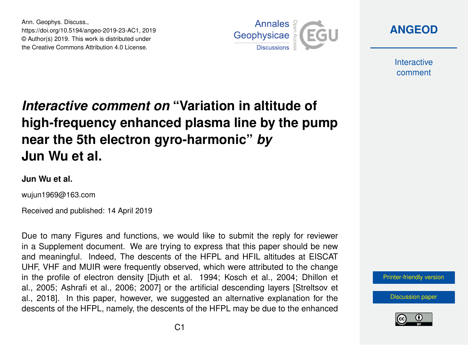Ann. Geophys. Discuss., https://doi.org/10.5194/angeo-2019-23-AC1, 2019 © Author(s) 2019. This work is distributed under the Creative Commons Attribution 4.0 License.



**[ANGEOD](https://www.ann-geophys-discuss.net/)**

**Interactive** comment

## *Interactive comment on* **"Variation in altitude of high-frequency enhanced plasma line by the pump near the 5th electron gyro-harmonic"** *by* **Jun Wu et al.**

## **Jun Wu et al.**

wujun1969@163.com

Received and published: 14 April 2019

Due to many Figures and functions, we would like to submit the reply for reviewer in a Supplement document. We are trying to express that this paper should be new and meaningful. Indeed, The descents of the HFPL and HFIL altitudes at EISCAT UHF, VHF and MUIR were frequently observed, which were attributed to the change in the profile of electron density [Djuth et al. 1994; Kosch et al., 2004; Dhillon et al., 2005; Ashrafi et al., 2006; 2007] or the artificial descending layers [Streltsov et al., 2018]. In this paper, however, we suggested an alternative explanation for the descents of the HFPL, namely, the descents of the HFPL may be due to the enhanced



[Discussion paper](https://www.ann-geophys-discuss.net/angeo-2019-23)